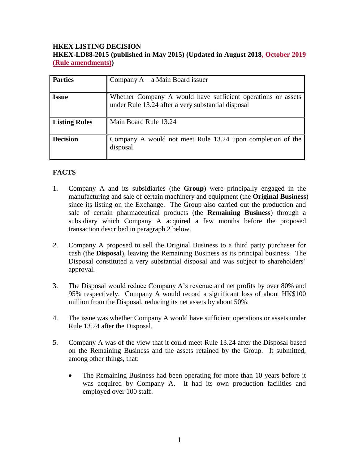## **HKEX LISTING DECISION HKEX-LD88-2015 (published in May 2015) (Updated in August 2018, October 2019 (Rule amendments))**

| <b>Parties</b>  | Company $A - a$ Main Board issuer                                                                                  |
|-----------------|--------------------------------------------------------------------------------------------------------------------|
| <b>Issue</b>    | Whether Company A would have sufficient operations or assets<br>under Rule 13.24 after a very substantial disposal |
| Listing Rules   | Main Board Rule 13.24                                                                                              |
| <b>Decision</b> | Company A would not meet Rule 13.24 upon completion of the<br>disposal                                             |

# **FACTS**

- 1. Company A and its subsidiaries (the **Group**) were principally engaged in the manufacturing and sale of certain machinery and equipment (the **Original Business**) since its listing on the Exchange. The Group also carried out the production and sale of certain pharmaceutical products (the **Remaining Business**) through a subsidiary which Company A acquired a few months before the proposed transaction described in paragraph 2 below.
- 2. Company A proposed to sell the Original Business to a third party purchaser for cash (the **Disposal**), leaving the Remaining Business as its principal business. The Disposal constituted a very substantial disposal and was subject to shareholders' approval.
- 3. The Disposal would reduce Company A's revenue and net profits by over 80% and 95% respectively. Company A would record a significant loss of about HK\$100 million from the Disposal, reducing its net assets by about 50%.
- 4. The issue was whether Company A would have sufficient operations or assets under Rule 13.24 after the Disposal.
- 5. Company A was of the view that it could meet Rule 13.24 after the Disposal based on the Remaining Business and the assets retained by the Group. It submitted, among other things, that:
	- The Remaining Business had been operating for more than 10 years before it was acquired by Company A. It had its own production facilities and employed over 100 staff.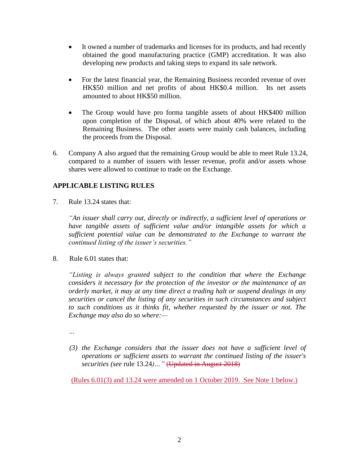- It owned a number of trademarks and licenses for its products, and had recently obtained the good manufacturing practice (GMP) accreditation. It was also developing new products and taking steps to expand its sale network.
- For the latest financial year, the Remaining Business recorded revenue of over HK\$50 million and net profits of about HK\$0.4 million. Its net assets amounted to about HK\$50 million.
- The Group would have pro forma tangible assets of about HK\$400 million upon completion of the Disposal, of which about 40% were related to the Remaining Business. The other assets were mainly cash balances, including the proceeds from the Disposal.
- 6. Company A also argued that the remaining Group would be able to meet Rule 13.24, compared to a number of issuers with lesser revenue, profit and/or assets whose shares were allowed to continue to trade on the Exchange.

# **APPLICABLE LISTING RULES**

7. Rule 13.24 states that:

*"An issuer shall carry out, directly or indirectly, a sufficient level of operations or have tangible assets of sufficient value and/or intangible assets for which a sufficient potential value can be demonstrated to the Exchange to warrant the continued listing of the issuer's securities."*

8. Rule 6.01 states that:

*"Listing is always granted subject to the condition that where the Exchange considers it necessary for the protection of the investor or the maintenance of an orderly market, it may at any time direct a trading halt or suspend dealings in any securities or cancel the listing of any securities in such circumstances and subject to such conditions as it thinks fit, whether requested by the issuer or not. The Exchange may also do so where:—*

*…*

*(3) the Exchange considers that the issuer does not have a sufficient level of operations or sufficient assets to warrant the continued listing of the issuer's securities (see* [rule 13.24](http://en-rules.hkex.com.hk/en/display/display.html?rbid=4476&element_id=2518)*)…"* (Updated in August 2018)

(Rules 6.01(3) and 13.24 were amended on 1 October 2019. See Note 1 below.)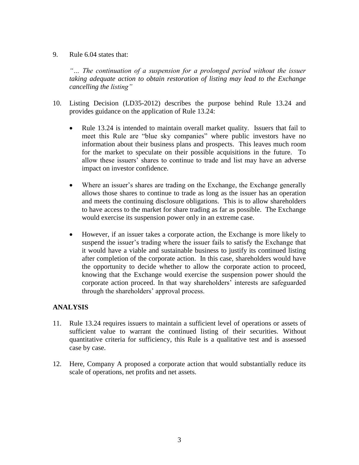#### 9. Rule 6.04 states that:

*"… The continuation of a suspension for a prolonged period without the issuer taking adequate action to obtain restoration of listing may lead to the Exchange cancelling the listing"*

- 10. Listing Decision (LD35-2012) describes the purpose behind Rule 13.24 and provides guidance on the application of Rule 13.24:
	- Rule 13.24 is intended to maintain overall market quality. Issuers that fail to meet this Rule are "blue sky companies" where public investors have no information about their business plans and prospects. This leaves much room for the market to speculate on their possible acquisitions in the future. To allow these issuers' shares to continue to trade and list may have an adverse impact on investor confidence.
	- Where an issuer's shares are trading on the Exchange, the Exchange generally allows those shares to continue to trade as long as the issuer has an operation and meets the continuing disclosure obligations. This is to allow shareholders to have access to the market for share trading as far as possible. The Exchange would exercise its suspension power only in an extreme case.
	- However, if an issuer takes a corporate action, the Exchange is more likely to suspend the issuer's trading where the issuer fails to satisfy the Exchange that it would have a viable and sustainable business to justify its continued listing after completion of the corporate action. In this case, shareholders would have the opportunity to decide whether to allow the corporate action to proceed, knowing that the Exchange would exercise the suspension power should the corporate action proceed. In that way shareholders' interests are safeguarded through the shareholders' approval process.

### **ANALYSIS**

- 11. Rule 13.24 requires issuers to maintain a sufficient level of operations or assets of sufficient value to warrant the continued listing of their securities. Without quantitative criteria for sufficiency, this Rule is a qualitative test and is assessed case by case.
- 12. Here, Company A proposed a corporate action that would substantially reduce its scale of operations, net profits and net assets.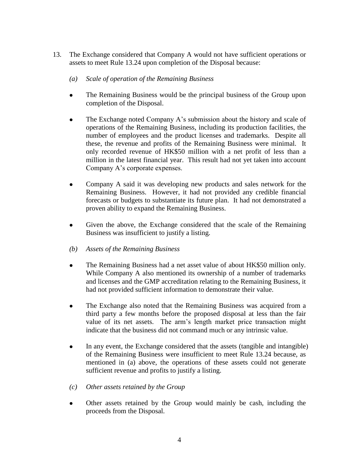- 13. The Exchange considered that Company A would not have sufficient operations or assets to meet Rule 13.24 upon completion of the Disposal because:
	- *(a) Scale of operation of the Remaining Business*
	- The Remaining Business would be the principal business of the Group upon completion of the Disposal.
	- The Exchange noted Company A's submission about the history and scale of operations of the Remaining Business, including its production facilities, the number of employees and the product licenses and trademarks. Despite all these, the revenue and profits of the Remaining Business were minimal. It only recorded revenue of HK\$50 million with a net profit of less than a million in the latest financial year. This result had not yet taken into account Company A's corporate expenses.
	- Company A said it was developing new products and sales network for the Remaining Business. However, it had not provided any credible financial forecasts or budgets to substantiate its future plan. It had not demonstrated a proven ability to expand the Remaining Business.
	- Given the above, the Exchange considered that the scale of the Remaining Business was insufficient to justify a listing.
	- *(b) Assets of the Remaining Business*
	- The Remaining Business had a net asset value of about HK\$50 million only. While Company A also mentioned its ownership of a number of trademarks and licenses and the GMP accreditation relating to the Remaining Business, it had not provided sufficient information to demonstrate their value.
	- The Exchange also noted that the Remaining Business was acquired from a third party a few months before the proposed disposal at less than the fair value of its net assets. The arm's length market price transaction might indicate that the business did not command much or any intrinsic value.
	- In any event, the Exchange considered that the assets (tangible and intangible) of the Remaining Business were insufficient to meet Rule 13.24 because, as mentioned in (a) above, the operations of these assets could not generate sufficient revenue and profits to justify a listing.
	- *(c) Other assets retained by the Group*
	- Other assets retained by the Group would mainly be cash, including the proceeds from the Disposal.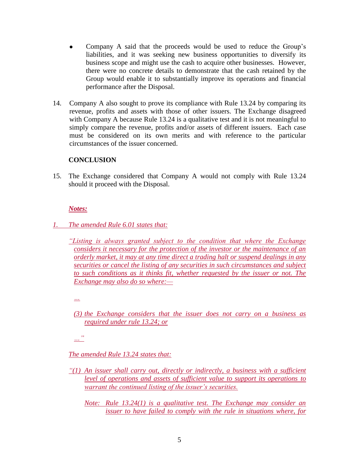- Company A said that the proceeds would be used to reduce the Group's liabilities, and it was seeking new business opportunities to diversify its business scope and might use the cash to acquire other businesses. However, there were no concrete details to demonstrate that the cash retained by the Group would enable it to substantially improve its operations and financial performance after the Disposal.
- 14. Company A also sought to prove its compliance with Rule 13.24 by comparing its revenue, profits and assets with those of other issuers. The Exchange disagreed with Company A because Rule 13.24 is a qualitative test and it is not meaningful to simply compare the revenue, profits and/or assets of different issuers. Each case must be considered on its own merits and with reference to the particular circumstances of the issuer concerned.

### **CONCLUSION**

15. The Exchange considered that Company A would not comply with Rule 13.24 should it proceed with the Disposal.

#### *Notes:*

- *1. The amended Rule 6.01 states that:*
	- *"Listing is always granted subject to the condition that where the Exchange considers it necessary for the protection of the investor or the maintenance of an orderly market, it may at any time direct a trading halt or suspend dealings in any securities or cancel the listing of any securities in such circumstances and subject to such conditions as it thinks fit, whether requested by the issuer or not. The Exchange may also do so where:—*

*…*

*(3) the Exchange considers that the issuer does not carry on a business as required under rule 13.24; or*

*…"*

*The amended Rule 13.24 states that:*

- *"(1) An issuer shall carry out, directly or indirectly, a business with a sufficient level of operations and assets of sufficient value to support its operations to warrant the continued listing of the issuer's securities.*
	- *Note: Rule 13.24(1) is a qualitative test. The Exchange may consider an issuer to have failed to comply with the rule in situations where, for*